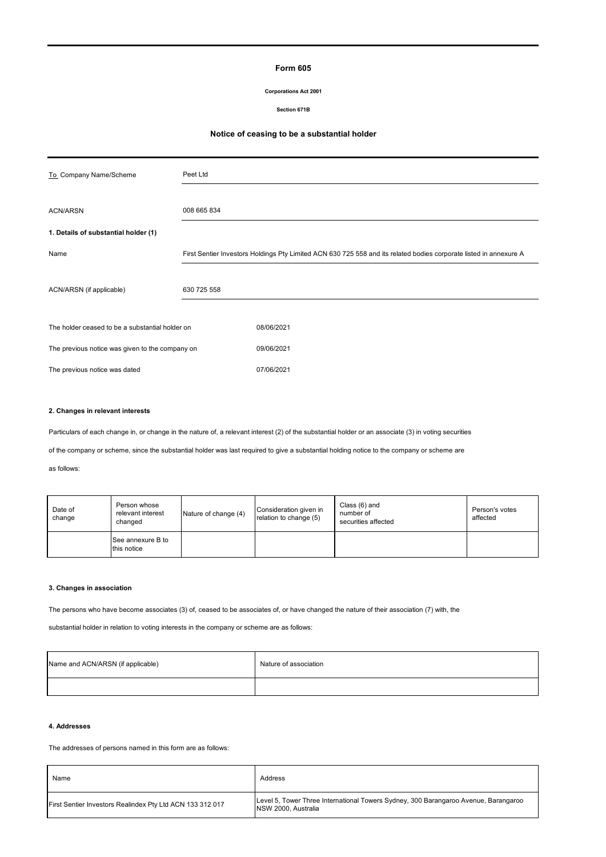# **Form 605**

## **Corporations Act 2001**

**Section 671B**

# **Notice of ceasing to be a substantial holder**

| To Company Name/Scheme                          | Peet Ltd                                                                                                           |            |  |  |
|-------------------------------------------------|--------------------------------------------------------------------------------------------------------------------|------------|--|--|
|                                                 |                                                                                                                    |            |  |  |
| <b>ACN/ARSN</b>                                 | 008 665 834                                                                                                        |            |  |  |
| 1. Details of substantial holder (1)            |                                                                                                                    |            |  |  |
| Name                                            | First Sentier Investors Holdings Pty Limited ACN 630 725 558 and its related bodies corporate listed in annexure A |            |  |  |
|                                                 |                                                                                                                    |            |  |  |
| 630 725 558<br>ACN/ARSN (if applicable)         |                                                                                                                    |            |  |  |
|                                                 |                                                                                                                    |            |  |  |
| The holder ceased to be a substantial holder on |                                                                                                                    | 08/06/2021 |  |  |
| The previous notice was given to the company on |                                                                                                                    | 09/06/2021 |  |  |
| The previous notice was dated                   |                                                                                                                    | 07/06/2021 |  |  |

# **2. Changes in relevant interests**

Particulars of each change in, or change in the nature of, a relevant interest (2) of the substantial holder or an associate (3) in voting securities

of the company or scheme, since the substantial holder was last required to give a substantial holding notice to the company or scheme are

as follows:

| Date of<br>change | Person whose<br>relevant interest<br>changed | Nature of change (4) | Consideration given in<br>relation to change (5) | Class (6) and<br>number of<br>securities affected | Person's votes<br>affected |
|-------------------|----------------------------------------------|----------------------|--------------------------------------------------|---------------------------------------------------|----------------------------|
|                   | See annexure B to<br>this notice             |                      |                                                  |                                                   |                            |

## **3. Changes in association**

The persons who have become associates (3) of, ceased to be associates of, or have changed the nature of their association (7) with, the

substantial holder in relation to voting interests in the company or scheme are as follows:

| Name and ACN/ARSN (if applicable) | Nature of association |  |  |
|-----------------------------------|-----------------------|--|--|
|                                   |                       |  |  |

# **4. Addresses**

l.

The addresses of persons named in this form are as follows:

| Name                                                      | Address                                                                                                    |
|-----------------------------------------------------------|------------------------------------------------------------------------------------------------------------|
| First Sentier Investors Realindex Pty Ltd ACN 133 312 017 | Level 5, Tower Three International Towers Sydney, 300 Barangaroo Avenue, Barangaroo<br>NSW 2000. Australia |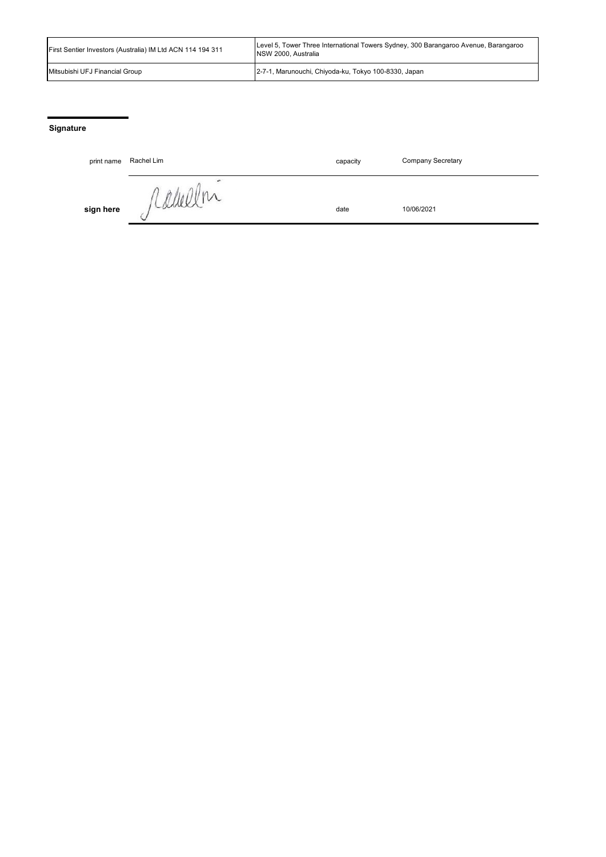| First Sentier Investors (Australia) IM Ltd ACN 114 194 311 | Level 5, Tower Three International Towers Sydney, 300 Barangaroo Avenue, Barangaroo<br>INSW 2000. Australia |  |  |
|------------------------------------------------------------|-------------------------------------------------------------------------------------------------------------|--|--|
| Mitsubishi UFJ Financial Group                             | 2-7-1, Marunouchi, Chiyoda-ku, Tokyo 100-8330, Japan                                                        |  |  |

# **Signature**

| print name | Rachel Lim   | capacity | <b>Company Secretary</b> |
|------------|--------------|----------|--------------------------|
| sign here  | V<br>ICRANCE | date     | 10/06/2021               |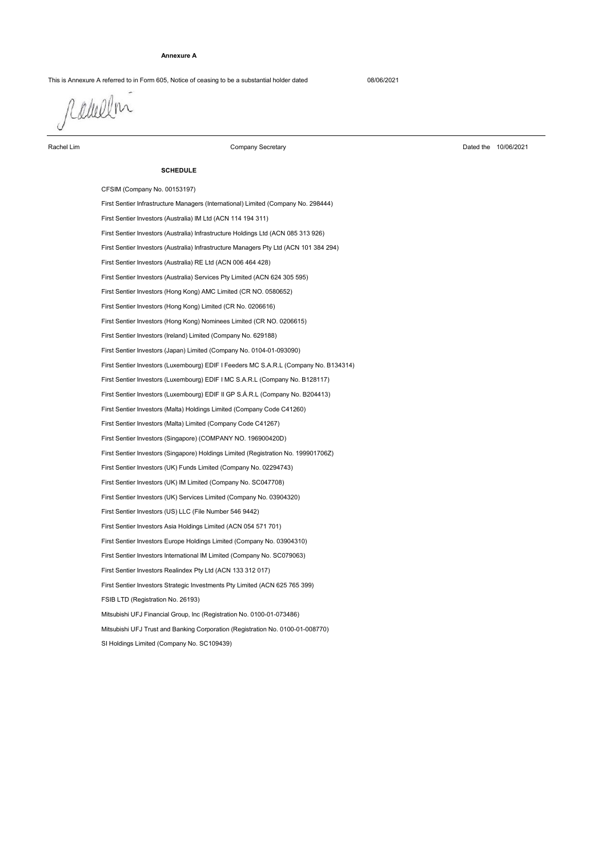## **Annexure A**

This is Annexure A referred to in Form 605, Notice of ceasing to be a substantial holder dated 08/06/2021

raulen

Rachel Lim

Company Secretary

Dated the 10/06/2021

## **SCHEDULE**

SI Holdings Limited (Company No. SC109439) CFSIM (Company No. 00153197) First Sentier Investors (Luxembourg) EDIF I MC S.A.R.L (Company No. B128117) First Sentier Investors (Luxembourg) EDIF II GP S.Á.R.L (Company No. B204413) First Sentier Investors (Japan) Limited (Company No. 0104-01-093090) First Sentier Infrastructure Managers (International) Limited (Company No. 298444) First Sentier Investors (Australia) IM Ltd (ACN 114 194 311) First Sentier Investors (Luxembourg) EDIF I Feeders MC S.A.R.L (Company No. B134314) First Sentier Investors (Ireland) Limited (Company No. 629188) First Sentier Investors (Australia) Infrastructure Holdings Ltd (ACN 085 313 926) First Sentier Investors (Australia) Infrastructure Managers Pty Ltd (ACN 101 384 294) First Sentier Investors (Hong Kong) Nominees Limited (CR NO. 0206615) First Sentier Investors (Australia) RE Ltd (ACN 006 464 428) First Sentier Investors (Hong Kong) Limited (CR No. 0206616) First Sentier Investors (Australia) Services Pty Limited (ACN 624 305 595) First Sentier Investors (Hong Kong) AMC Limited (CR NO. 0580652) First Sentier Investors Europe Holdings Limited (Company No. 03904310) First Sentier Investors Asia Holdings Limited (ACN 054 571 701) Mitsubishi UFJ Financial Group, Inc (Registration No. 0100-01-073486) First Sentier Investors (UK) Funds Limited (Company No. 02294743) First Sentier Investors (UK) IM Limited (Company No. SC047708) First Sentier Investors (UK) Services Limited (Company No. 03904320) First Sentier Investors (US) LLC (File Number 546 9442) First Sentier Investors (Malta) Limited (Company Code C41267) First Sentier Investors (Malta) Holdings Limited (Company Code C41260) First Sentier Investors (Singapore) Holdings Limited (Registration No. 199901706Z) First Sentier Investors (Singapore) (COMPANY NO. 196900420D) Mitsubishi UFJ Trust and Banking Corporation (Registration No. 0100-01-008770) FSIB LTD (Registration No. 26193) First Sentier Investors Strategic Investments Pty Limited (ACN 625 765 399) First Sentier Investors Realindex Pty Ltd (ACN 133 312 017) First Sentier Investors International IM Limited (Company No. SC079063)